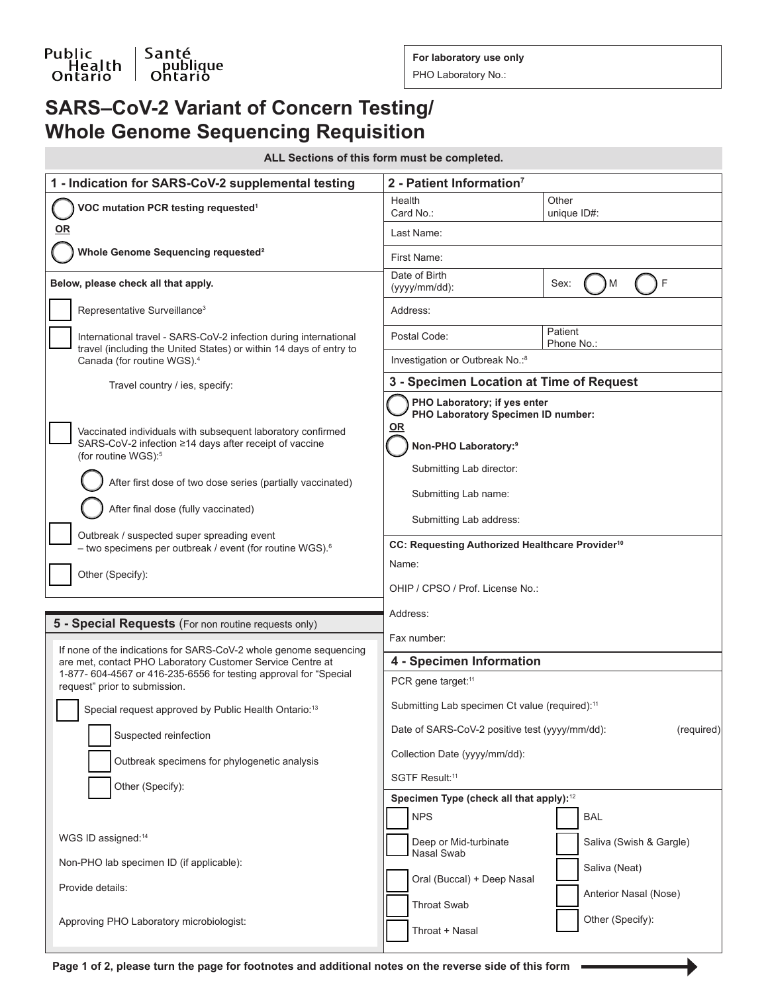Santé<br>| Santé<br>| Ontario

**For laboratory use only**

PHO Laboratory No.:

# **SARS–CoV-2 Variant of Concern Testing/ Whole Genome Sequencing Requisition**

| ALL Sections of this form must be completed. |  |  |  |  |  |
|----------------------------------------------|--|--|--|--|--|
|----------------------------------------------|--|--|--|--|--|

| Health<br>Other<br>VOC mutation PCR testing requested <sup>1</sup><br>Card No.:<br>unique ID#:<br><u>OR</u><br>Last Name:<br>Whole Genome Sequencing requested <sup>2</sup><br>First Name:<br>Date of Birth<br>F<br>Sex:<br>Below, please check all that apply.<br>м<br>(yyyy/mm/dd):<br>Representative Surveillance <sup>3</sup><br>Address:<br>Patient<br>Postal Code:<br>International travel - SARS-CoV-2 infection during international<br>Phone No.:<br>travel (including the United States) or within 14 days of entry to<br>Investigation or Outbreak No.:8<br>Canada (for routine WGS). <sup>4</sup><br>3 - Specimen Location at Time of Request<br>Travel country / ies, specify:<br>PHO Laboratory; if yes enter<br>PHO Laboratory Specimen ID number:<br><u>OR</u><br>Vaccinated individuals with subsequent laboratory confirmed<br>SARS-CoV-2 infection ≥14 days after receipt of vaccine<br>Non-PHO Laboratory: <sup>9</sup><br>(for routine WGS): <sup>5</sup><br>Submitting Lab director:<br>After first dose of two dose series (partially vaccinated)<br>Submitting Lab name:<br>After final dose (fully vaccinated)<br>Submitting Lab address:<br>Outbreak / suspected super spreading event<br>CC: Requesting Authorized Healthcare Provider <sup>10</sup><br>- two specimens per outbreak / event (for routine WGS). <sup>6</sup><br>Name:<br>Other (Specify):<br>OHIP / CPSO / Prof. License No.:<br>Address:<br>5 - Special Requests (For non routine requests only)<br>Fax number:<br>If none of the indications for SARS-CoV-2 whole genome sequencing<br>4 - Specimen Information<br>are met, contact PHO Laboratory Customer Service Centre at<br>1-877- 604-4567 or 416-235-6556 for testing approval for "Special<br>PCR gene target: <sup>11</sup><br>request" prior to submission.<br>Submitting Lab specimen Ct value (required): <sup>11</sup><br>Special request approved by Public Health Ontario: <sup>13</sup><br>Date of SARS-CoV-2 positive test (yyyy/mm/dd):<br>(required)<br>Suspected reinfection<br>Collection Date (yyyy/mm/dd):<br>Outbreak specimens for phylogenetic analysis<br>SGTF Result: <sup>11</sup><br>Other (Specify):<br>Specimen Type (check all that apply): <sup>12</sup><br><b>NPS</b><br><b>BAL</b><br>WGS ID assigned: <sup>14</sup><br>Deep or Mid-turbinate<br>Saliva (Swish & Gargle)<br>Nasal Swab<br>Non-PHO lab specimen ID (if applicable):<br>Saliva (Neat)<br>Oral (Buccal) + Deep Nasal<br>Provide details:<br>Anterior Nasal (Nose)<br>Throat Swab<br>Other (Specify):<br>Approving PHO Laboratory microbiologist:<br>Throat + Nasal | 1 - Indication for SARS-CoV-2 supplemental testing | 2 - Patient Information <sup>7</sup> |  |  |
|------------------------------------------------------------------------------------------------------------------------------------------------------------------------------------------------------------------------------------------------------------------------------------------------------------------------------------------------------------------------------------------------------------------------------------------------------------------------------------------------------------------------------------------------------------------------------------------------------------------------------------------------------------------------------------------------------------------------------------------------------------------------------------------------------------------------------------------------------------------------------------------------------------------------------------------------------------------------------------------------------------------------------------------------------------------------------------------------------------------------------------------------------------------------------------------------------------------------------------------------------------------------------------------------------------------------------------------------------------------------------------------------------------------------------------------------------------------------------------------------------------------------------------------------------------------------------------------------------------------------------------------------------------------------------------------------------------------------------------------------------------------------------------------------------------------------------------------------------------------------------------------------------------------------------------------------------------------------------------------------------------------------------------------------------------------------------------------------------------------------------------------------------------------------------------------------------------------------------------------------------------------------------------------------------------------------------------------------------------------------------------------------------------------------------------------------------------------------------------------------------------------------------------------------------------------------------------------------------------------|----------------------------------------------------|--------------------------------------|--|--|
|                                                                                                                                                                                                                                                                                                                                                                                                                                                                                                                                                                                                                                                                                                                                                                                                                                                                                                                                                                                                                                                                                                                                                                                                                                                                                                                                                                                                                                                                                                                                                                                                                                                                                                                                                                                                                                                                                                                                                                                                                                                                                                                                                                                                                                                                                                                                                                                                                                                                                                                                                                                                                  |                                                    |                                      |  |  |
|                                                                                                                                                                                                                                                                                                                                                                                                                                                                                                                                                                                                                                                                                                                                                                                                                                                                                                                                                                                                                                                                                                                                                                                                                                                                                                                                                                                                                                                                                                                                                                                                                                                                                                                                                                                                                                                                                                                                                                                                                                                                                                                                                                                                                                                                                                                                                                                                                                                                                                                                                                                                                  |                                                    |                                      |  |  |
|                                                                                                                                                                                                                                                                                                                                                                                                                                                                                                                                                                                                                                                                                                                                                                                                                                                                                                                                                                                                                                                                                                                                                                                                                                                                                                                                                                                                                                                                                                                                                                                                                                                                                                                                                                                                                                                                                                                                                                                                                                                                                                                                                                                                                                                                                                                                                                                                                                                                                                                                                                                                                  |                                                    |                                      |  |  |
|                                                                                                                                                                                                                                                                                                                                                                                                                                                                                                                                                                                                                                                                                                                                                                                                                                                                                                                                                                                                                                                                                                                                                                                                                                                                                                                                                                                                                                                                                                                                                                                                                                                                                                                                                                                                                                                                                                                                                                                                                                                                                                                                                                                                                                                                                                                                                                                                                                                                                                                                                                                                                  |                                                    |                                      |  |  |
|                                                                                                                                                                                                                                                                                                                                                                                                                                                                                                                                                                                                                                                                                                                                                                                                                                                                                                                                                                                                                                                                                                                                                                                                                                                                                                                                                                                                                                                                                                                                                                                                                                                                                                                                                                                                                                                                                                                                                                                                                                                                                                                                                                                                                                                                                                                                                                                                                                                                                                                                                                                                                  |                                                    |                                      |  |  |
|                                                                                                                                                                                                                                                                                                                                                                                                                                                                                                                                                                                                                                                                                                                                                                                                                                                                                                                                                                                                                                                                                                                                                                                                                                                                                                                                                                                                                                                                                                                                                                                                                                                                                                                                                                                                                                                                                                                                                                                                                                                                                                                                                                                                                                                                                                                                                                                                                                                                                                                                                                                                                  |                                                    |                                      |  |  |
|                                                                                                                                                                                                                                                                                                                                                                                                                                                                                                                                                                                                                                                                                                                                                                                                                                                                                                                                                                                                                                                                                                                                                                                                                                                                                                                                                                                                                                                                                                                                                                                                                                                                                                                                                                                                                                                                                                                                                                                                                                                                                                                                                                                                                                                                                                                                                                                                                                                                                                                                                                                                                  |                                                    |                                      |  |  |
|                                                                                                                                                                                                                                                                                                                                                                                                                                                                                                                                                                                                                                                                                                                                                                                                                                                                                                                                                                                                                                                                                                                                                                                                                                                                                                                                                                                                                                                                                                                                                                                                                                                                                                                                                                                                                                                                                                                                                                                                                                                                                                                                                                                                                                                                                                                                                                                                                                                                                                                                                                                                                  |                                                    |                                      |  |  |
|                                                                                                                                                                                                                                                                                                                                                                                                                                                                                                                                                                                                                                                                                                                                                                                                                                                                                                                                                                                                                                                                                                                                                                                                                                                                                                                                                                                                                                                                                                                                                                                                                                                                                                                                                                                                                                                                                                                                                                                                                                                                                                                                                                                                                                                                                                                                                                                                                                                                                                                                                                                                                  |                                                    |                                      |  |  |
|                                                                                                                                                                                                                                                                                                                                                                                                                                                                                                                                                                                                                                                                                                                                                                                                                                                                                                                                                                                                                                                                                                                                                                                                                                                                                                                                                                                                                                                                                                                                                                                                                                                                                                                                                                                                                                                                                                                                                                                                                                                                                                                                                                                                                                                                                                                                                                                                                                                                                                                                                                                                                  |                                                    |                                      |  |  |
|                                                                                                                                                                                                                                                                                                                                                                                                                                                                                                                                                                                                                                                                                                                                                                                                                                                                                                                                                                                                                                                                                                                                                                                                                                                                                                                                                                                                                                                                                                                                                                                                                                                                                                                                                                                                                                                                                                                                                                                                                                                                                                                                                                                                                                                                                                                                                                                                                                                                                                                                                                                                                  |                                                    |                                      |  |  |
|                                                                                                                                                                                                                                                                                                                                                                                                                                                                                                                                                                                                                                                                                                                                                                                                                                                                                                                                                                                                                                                                                                                                                                                                                                                                                                                                                                                                                                                                                                                                                                                                                                                                                                                                                                                                                                                                                                                                                                                                                                                                                                                                                                                                                                                                                                                                                                                                                                                                                                                                                                                                                  |                                                    |                                      |  |  |
|                                                                                                                                                                                                                                                                                                                                                                                                                                                                                                                                                                                                                                                                                                                                                                                                                                                                                                                                                                                                                                                                                                                                                                                                                                                                                                                                                                                                                                                                                                                                                                                                                                                                                                                                                                                                                                                                                                                                                                                                                                                                                                                                                                                                                                                                                                                                                                                                                                                                                                                                                                                                                  |                                                    |                                      |  |  |
|                                                                                                                                                                                                                                                                                                                                                                                                                                                                                                                                                                                                                                                                                                                                                                                                                                                                                                                                                                                                                                                                                                                                                                                                                                                                                                                                                                                                                                                                                                                                                                                                                                                                                                                                                                                                                                                                                                                                                                                                                                                                                                                                                                                                                                                                                                                                                                                                                                                                                                                                                                                                                  |                                                    |                                      |  |  |
|                                                                                                                                                                                                                                                                                                                                                                                                                                                                                                                                                                                                                                                                                                                                                                                                                                                                                                                                                                                                                                                                                                                                                                                                                                                                                                                                                                                                                                                                                                                                                                                                                                                                                                                                                                                                                                                                                                                                                                                                                                                                                                                                                                                                                                                                                                                                                                                                                                                                                                                                                                                                                  |                                                    |                                      |  |  |
|                                                                                                                                                                                                                                                                                                                                                                                                                                                                                                                                                                                                                                                                                                                                                                                                                                                                                                                                                                                                                                                                                                                                                                                                                                                                                                                                                                                                                                                                                                                                                                                                                                                                                                                                                                                                                                                                                                                                                                                                                                                                                                                                                                                                                                                                                                                                                                                                                                                                                                                                                                                                                  |                                                    |                                      |  |  |
|                                                                                                                                                                                                                                                                                                                                                                                                                                                                                                                                                                                                                                                                                                                                                                                                                                                                                                                                                                                                                                                                                                                                                                                                                                                                                                                                                                                                                                                                                                                                                                                                                                                                                                                                                                                                                                                                                                                                                                                                                                                                                                                                                                                                                                                                                                                                                                                                                                                                                                                                                                                                                  |                                                    |                                      |  |  |
|                                                                                                                                                                                                                                                                                                                                                                                                                                                                                                                                                                                                                                                                                                                                                                                                                                                                                                                                                                                                                                                                                                                                                                                                                                                                                                                                                                                                                                                                                                                                                                                                                                                                                                                                                                                                                                                                                                                                                                                                                                                                                                                                                                                                                                                                                                                                                                                                                                                                                                                                                                                                                  |                                                    |                                      |  |  |
|                                                                                                                                                                                                                                                                                                                                                                                                                                                                                                                                                                                                                                                                                                                                                                                                                                                                                                                                                                                                                                                                                                                                                                                                                                                                                                                                                                                                                                                                                                                                                                                                                                                                                                                                                                                                                                                                                                                                                                                                                                                                                                                                                                                                                                                                                                                                                                                                                                                                                                                                                                                                                  |                                                    |                                      |  |  |
|                                                                                                                                                                                                                                                                                                                                                                                                                                                                                                                                                                                                                                                                                                                                                                                                                                                                                                                                                                                                                                                                                                                                                                                                                                                                                                                                                                                                                                                                                                                                                                                                                                                                                                                                                                                                                                                                                                                                                                                                                                                                                                                                                                                                                                                                                                                                                                                                                                                                                                                                                                                                                  |                                                    |                                      |  |  |
|                                                                                                                                                                                                                                                                                                                                                                                                                                                                                                                                                                                                                                                                                                                                                                                                                                                                                                                                                                                                                                                                                                                                                                                                                                                                                                                                                                                                                                                                                                                                                                                                                                                                                                                                                                                                                                                                                                                                                                                                                                                                                                                                                                                                                                                                                                                                                                                                                                                                                                                                                                                                                  |                                                    |                                      |  |  |
|                                                                                                                                                                                                                                                                                                                                                                                                                                                                                                                                                                                                                                                                                                                                                                                                                                                                                                                                                                                                                                                                                                                                                                                                                                                                                                                                                                                                                                                                                                                                                                                                                                                                                                                                                                                                                                                                                                                                                                                                                                                                                                                                                                                                                                                                                                                                                                                                                                                                                                                                                                                                                  |                                                    |                                      |  |  |
|                                                                                                                                                                                                                                                                                                                                                                                                                                                                                                                                                                                                                                                                                                                                                                                                                                                                                                                                                                                                                                                                                                                                                                                                                                                                                                                                                                                                                                                                                                                                                                                                                                                                                                                                                                                                                                                                                                                                                                                                                                                                                                                                                                                                                                                                                                                                                                                                                                                                                                                                                                                                                  |                                                    |                                      |  |  |
|                                                                                                                                                                                                                                                                                                                                                                                                                                                                                                                                                                                                                                                                                                                                                                                                                                                                                                                                                                                                                                                                                                                                                                                                                                                                                                                                                                                                                                                                                                                                                                                                                                                                                                                                                                                                                                                                                                                                                                                                                                                                                                                                                                                                                                                                                                                                                                                                                                                                                                                                                                                                                  |                                                    |                                      |  |  |
|                                                                                                                                                                                                                                                                                                                                                                                                                                                                                                                                                                                                                                                                                                                                                                                                                                                                                                                                                                                                                                                                                                                                                                                                                                                                                                                                                                                                                                                                                                                                                                                                                                                                                                                                                                                                                                                                                                                                                                                                                                                                                                                                                                                                                                                                                                                                                                                                                                                                                                                                                                                                                  |                                                    |                                      |  |  |
|                                                                                                                                                                                                                                                                                                                                                                                                                                                                                                                                                                                                                                                                                                                                                                                                                                                                                                                                                                                                                                                                                                                                                                                                                                                                                                                                                                                                                                                                                                                                                                                                                                                                                                                                                                                                                                                                                                                                                                                                                                                                                                                                                                                                                                                                                                                                                                                                                                                                                                                                                                                                                  |                                                    |                                      |  |  |
|                                                                                                                                                                                                                                                                                                                                                                                                                                                                                                                                                                                                                                                                                                                                                                                                                                                                                                                                                                                                                                                                                                                                                                                                                                                                                                                                                                                                                                                                                                                                                                                                                                                                                                                                                                                                                                                                                                                                                                                                                                                                                                                                                                                                                                                                                                                                                                                                                                                                                                                                                                                                                  |                                                    |                                      |  |  |
|                                                                                                                                                                                                                                                                                                                                                                                                                                                                                                                                                                                                                                                                                                                                                                                                                                                                                                                                                                                                                                                                                                                                                                                                                                                                                                                                                                                                                                                                                                                                                                                                                                                                                                                                                                                                                                                                                                                                                                                                                                                                                                                                                                                                                                                                                                                                                                                                                                                                                                                                                                                                                  |                                                    |                                      |  |  |
|                                                                                                                                                                                                                                                                                                                                                                                                                                                                                                                                                                                                                                                                                                                                                                                                                                                                                                                                                                                                                                                                                                                                                                                                                                                                                                                                                                                                                                                                                                                                                                                                                                                                                                                                                                                                                                                                                                                                                                                                                                                                                                                                                                                                                                                                                                                                                                                                                                                                                                                                                                                                                  |                                                    |                                      |  |  |
|                                                                                                                                                                                                                                                                                                                                                                                                                                                                                                                                                                                                                                                                                                                                                                                                                                                                                                                                                                                                                                                                                                                                                                                                                                                                                                                                                                                                                                                                                                                                                                                                                                                                                                                                                                                                                                                                                                                                                                                                                                                                                                                                                                                                                                                                                                                                                                                                                                                                                                                                                                                                                  |                                                    |                                      |  |  |
|                                                                                                                                                                                                                                                                                                                                                                                                                                                                                                                                                                                                                                                                                                                                                                                                                                                                                                                                                                                                                                                                                                                                                                                                                                                                                                                                                                                                                                                                                                                                                                                                                                                                                                                                                                                                                                                                                                                                                                                                                                                                                                                                                                                                                                                                                                                                                                                                                                                                                                                                                                                                                  |                                                    |                                      |  |  |

**Page 1 of 2, please turn the page for footnotes and additional notes on the reverse side of this form**